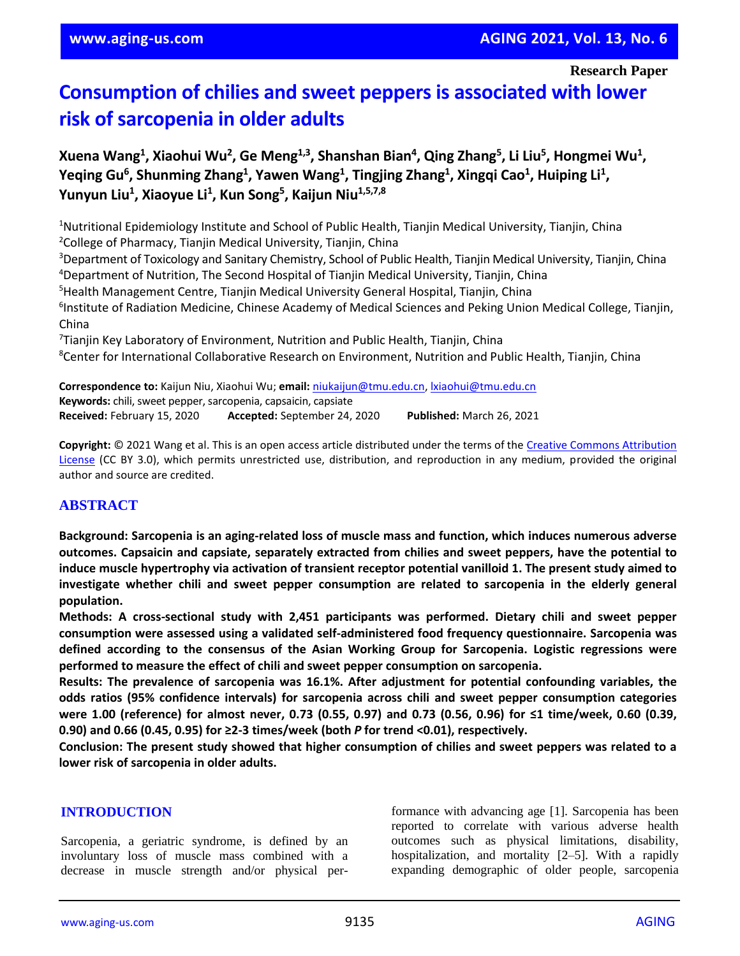# **Consumption of chilies and sweet peppers is associated with lower risk of sarcopenia in older adults**

**Xuena Wang<sup>1</sup> , Xiaohui Wu<sup>2</sup> , Ge Meng1,3 , Shanshan Bian<sup>4</sup> , Qing Zhang<sup>5</sup> , Li Liu<sup>5</sup> , Hongmei Wu<sup>1</sup> , Yeqing Gu<sup>6</sup> , Shunming Zhang<sup>1</sup> , Yawen Wang<sup>1</sup> , Tingjing Zhang<sup>1</sup> , Xingqi Cao<sup>1</sup> , Huiping Li<sup>1</sup> , Yunyun Liu<sup>1</sup> , Xiaoyue Li<sup>1</sup> , Kun Song<sup>5</sup> , Kaijun Niu1,5,7,8**

<sup>1</sup>Nutritional Epidemiology Institute and School of Public Health, Tianjin Medical University, Tianjin, China <sup>2</sup>College of Pharmacy, Tianjin Medical University, Tianjin, China

<sup>3</sup>Department of Toxicology and Sanitary Chemistry, School of Public Health, Tianjin Medical University, Tianjin, China <sup>4</sup>Department of Nutrition, The Second Hospital of Tianjin Medical University, Tianjin, China

<sup>5</sup>Health Management Centre, Tianjin Medical University General Hospital, Tianjin, China

<sup>6</sup>Institute of Radiation Medicine, Chinese Academy of Medical Sciences and Peking Union Medical College, Tianjin, China

<sup>7</sup>Tianjin Key Laboratory of Environment, Nutrition and Public Health, Tianjin, China <sup>8</sup>Center for International Collaborative Research on Environment, Nutrition and Public Health, Tianjin, China

**Correspondence to:** Kaijun Niu, Xiaohui Wu; **email:** [niukaijun@tmu.edu.cn,](mailto:niukaijun@tmu.edu.cn) [lxiaohui@tmu.edu.cn](mailto:lxiaohui@tmu.edu.cn) **Keywords:** chili, sweet pepper, sarcopenia, capsaicin, capsiate **Received:** February 15, 2020 **Accepted:** September 24, 2020 **Published:** March 26, 2021

**Copyright:** © 2021 Wang et al. This is an open access article distributed under the terms of the [Creative Commons Attribution](https://creativecommons.org/licenses/by/3.0/)  [License](https://creativecommons.org/licenses/by/3.0/) (CC BY 3.0), which permits unrestricted use, distribution, and reproduction in any medium, provided the original author and source are credited.

# **ABSTRACT**

**Background: Sarcopenia is an aging-related loss of muscle mass and function, which induces numerous adverse outcomes. Capsaicin and capsiate, separately extracted from chilies and sweet peppers, have the potential to induce muscle hypertrophy via activation of transient receptor potential vanilloid 1. The present study aimed to investigate whether chili and sweet pepper consumption are related to sarcopenia in the elderly general population.**

**Methods: A cross-sectional study with 2,451 participants was performed. Dietary chili and sweet pepper consumption were assessed using a validated self-administered food frequency questionnaire. Sarcopenia was defined according to the consensus of the Asian Working Group for Sarcopenia. Logistic regressions were performed to measure the effect of chili and sweet pepper consumption on sarcopenia.**

**Results: The prevalence of sarcopenia was 16.1%. After adjustment for potential confounding variables, the odds ratios (95% confidence intervals) for sarcopenia across chili and sweet pepper consumption categories** were 1.00 (reference) for almost never, 0.73 (0.55, 0.97) and 0.73 (0.56, 0.96) for ≤1 time/week, 0.60 (0.39, **0.90) and 0.66 (0.45, 0.95) for ≥2-3 times/week (both** *P* **for trend <0.01), respectively.**

Conclusion: The present study showed that higher consumption of chilies and sweet peppers was related to a **lower risk of sarcopenia in older adults.**

## **INTRODUCTION**

Sarcopenia, a geriatric syndrome, is defined by an involuntary loss of muscle mass combined with a decrease in muscle strength and/or physical performance with advancing age [1]. Sarcopenia has been reported to correlate with various adverse health outcomes such as physical limitations, disability, hospitalization, and mortality [2–5]. With a rapidly expanding demographic of older people, sarcopenia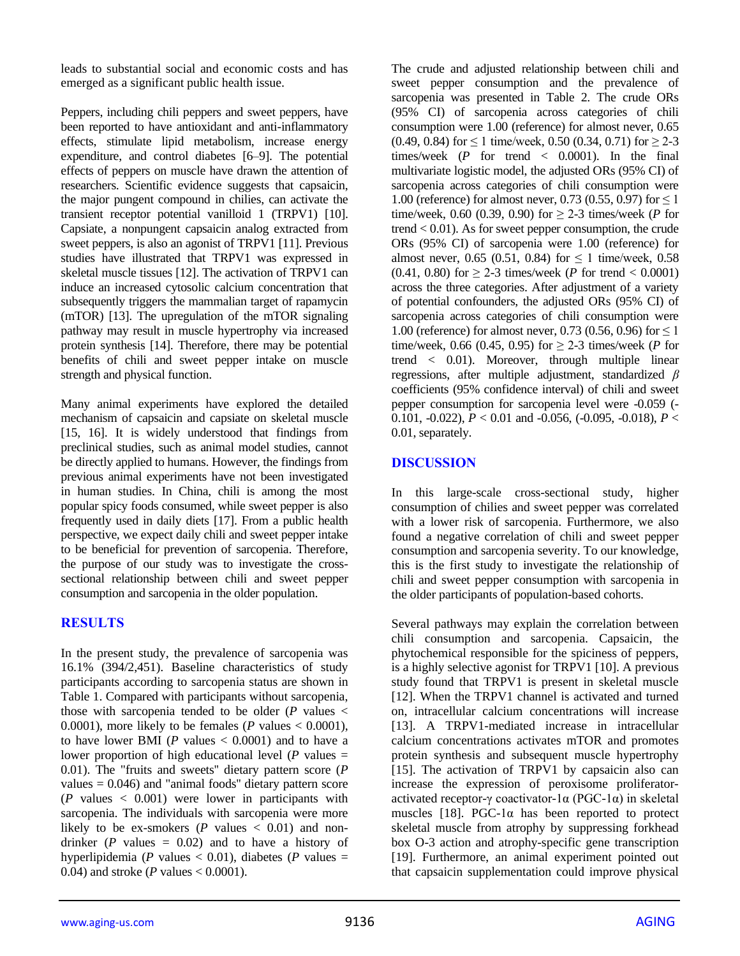leads to substantial social and economic costs and has emerged as a significant public health issue.

Peppers, including chili peppers and sweet peppers, have been reported to have antioxidant and anti-inflammatory effects, stimulate lipid metabolism, increase energy expenditure, and control diabetes [6–9]. The potential effects of peppers on muscle have drawn the attention of researchers. Scientific evidence suggests that capsaicin, the major pungent compound in chilies, can activate the transient receptor potential vanilloid 1 (TRPV1) [10]. Capsiate, a nonpungent capsaicin analog extracted from sweet peppers, is also an agonist of TRPV1 [11]. Previous studies have illustrated that TRPV1 was expressed in skeletal muscle tissues [12]. The activation of TRPV1 can induce an increased cytosolic calcium concentration that subsequently triggers the mammalian target of rapamycin (mTOR) [13]. The upregulation of the mTOR signaling pathway may result in muscle hypertrophy via increased protein synthesis [14]. Therefore, there may be potential benefits of chili and sweet pepper intake on muscle strength and physical function.

Many animal experiments have explored the detailed mechanism of capsaicin and capsiate on skeletal muscle [15, 16]. It is widely understood that findings from preclinical studies, such as animal model studies, cannot be directly applied to humans. However, the findings from previous animal experiments have not been investigated in human studies. In China, chili is among the most popular spicy foods consumed, while sweet pepper is also frequently used in daily diets [17]. From a public health perspective, we expect daily chili and sweet pepper intake to be beneficial for prevention of sarcopenia. Therefore, the purpose of our study was to investigate the crosssectional relationship between chili and sweet pepper consumption and sarcopenia in the older population.

# **RESULTS**

In the present study, the prevalence of sarcopenia was 16.1% (394/2,451). Baseline characteristics of study participants according to sarcopenia status are shown in Table 1. Compared with participants without sarcopenia, those with sarcopenia tended to be older  $(P \text{ values} <$ 0.0001), more likely to be females (*P* values  $< 0.0001$ ), to have lower BMI ( $P$  values  $< 0.0001$ ) and to have a lower proportion of high educational level ( $P$  values  $=$ 0.01). The "fruits and sweets'' dietary pattern score (*P* values  $= 0.046$ ) and "animal foods" dietary pattern score  $(P \text{ values} < 0.001)$  were lower in participants with sarcopenia. The individuals with sarcopenia were more likely to be ex-smokers  $(P \text{ values} < 0.01)$  and nondrinker  $(P \text{ values} = 0.02)$  and to have a history of hyperlipidemia ( $P$  values  $< 0.01$ ), diabetes ( $P$  values  $=$ 0.04) and stroke (*P* values < 0.0001).

The crude and adjusted relationship between chili and sweet pepper consumption and the prevalence of sarcopenia was presented in Table 2. The crude ORs (95% CI) of sarcopenia across categories of chili consumption were 1.00 (reference) for almost never, 0.65  $(0.49, 0.84)$  for  $\leq 1$  time/week, 0.50 (0.34, 0.71) for  $\geq 2-3$ times/week  $(P \text{ for trend} < 0.0001)$ . In the final multivariate logistic model, the adjusted ORs (95% CI) of sarcopenia across categories of chili consumption were 1.00 (reference) for almost never, 0.73 (0.55, 0.97) for  $\leq 1$ time/week, 0.60 (0.39, 0.90) for  $\geq$  2-3 times/week (*P* for trend  $< 0.01$ ). As for sweet pepper consumption, the crude ORs (95% CI) of sarcopenia were 1.00 (reference) for almost never, 0.65 (0.51, 0.84) for  $\leq 1$  time/week, 0.58 (0.41, 0.80) for  $\geq$  2-3 times/week (*P* for trend < 0.0001) across the three categories. After adjustment of a variety of potential confounders, the adjusted ORs (95% CI) of sarcopenia across categories of chili consumption were 1.00 (reference) for almost never, 0.73 (0.56, 0.96) for  $\leq 1$ time/week, 0.66 (0.45, 0.95) for  $≥$  2-3 times/week (*P* for trend < 0.01). Moreover, through multiple linear regressions, after multiple adjustment, standardized *β* coefficients (95% confidence interval) of chili and sweet pepper consumption for sarcopenia level were -0.059 (- 0.101, -0.022), *P* < 0.01 and -0.056, (-0.095, -0.018), *P* < 0.01, separately.

# **DISCUSSION**

In this large-scale cross-sectional study, higher consumption of chilies and sweet pepper was correlated with a lower risk of sarcopenia. Furthermore, we also found a negative correlation of chili and sweet pepper consumption and sarcopenia severity. To our knowledge, this is the first study to investigate the relationship of chili and sweet pepper consumption with sarcopenia in the older participants of population-based cohorts.

Several pathways may explain the correlation between chili consumption and sarcopenia. Capsaicin, the phytochemical responsible for the spiciness of peppers, is a highly selective agonist for TRPV1 [10]. A previous study found that TRPV1 is present in skeletal muscle [12]. When the TRPV1 channel is activated and turned on, intracellular calcium concentrations will increase [13]. A TRPV1-mediated increase in intracellular calcium concentrations activates mTOR and promotes protein synthesis and subsequent muscle hypertrophy [15]. The activation of TRPV1 by capsaicin also can increase the expression of peroxisome proliferatoractivated receptor-γ coactivator-1α (PGC-1α) in skeletal muscles [18]. PGC-1 $\alpha$  has been reported to protect skeletal muscle from atrophy by suppressing forkhead box O-3 action and atrophy-specific gene transcription [19]. Furthermore, an animal experiment pointed out that capsaicin supplementation could improve physical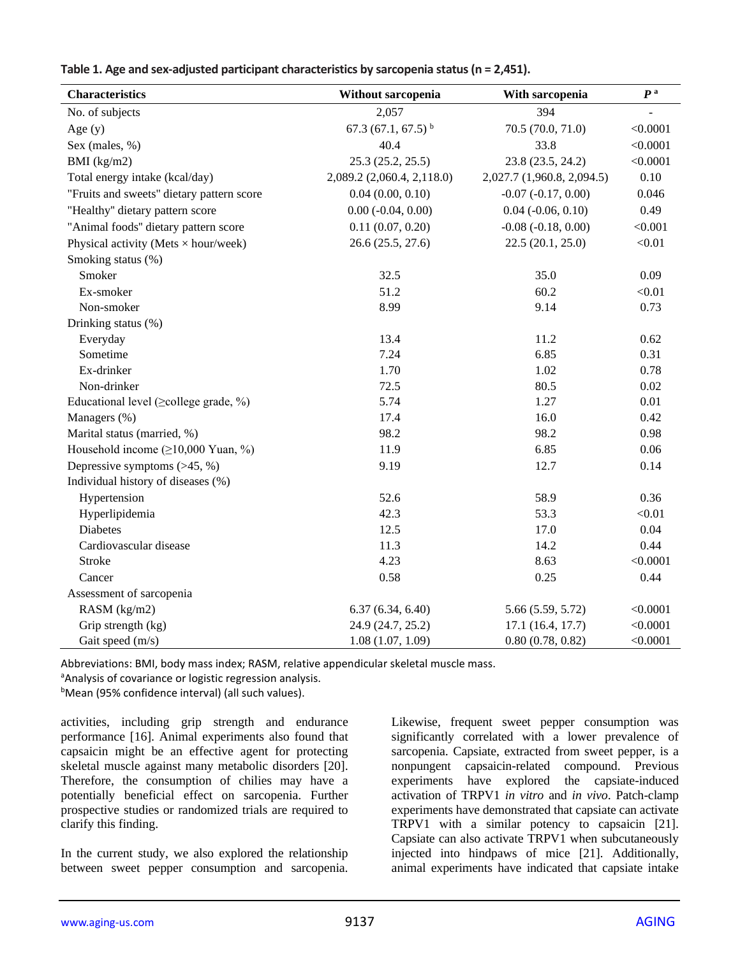|  |  | Table 1. Age and sex-adjusted participant characteristics by sarcopenia status ( $n = 2,451$ ). |
|--|--|-------------------------------------------------------------------------------------------------|
|--|--|-------------------------------------------------------------------------------------------------|

| <b>Characteristics</b>                       | Without sarcopenia           | With sarcopenia             | P <sup>a</sup> |
|----------------------------------------------|------------------------------|-----------------------------|----------------|
| No. of subjects                              | 2,057                        | 394                         |                |
| Age $(y)$                                    | 67.3 (67.1, 67.5) $^{\rm b}$ | 70.5 (70.0, 71.0)           | < 0.0001       |
| Sex (males, %)                               | 40.4                         | 33.8                        | < 0.0001       |
| BMI $(kg/m2)$                                | 25.3(25.2, 25.5)             | 23.8 (23.5, 24.2)           | < 0.0001       |
| Total energy intake (kcal/day)               | 2,089.2 (2,060.4, 2,118.0)   | 2,027.7 (1,960.8, 2,094.5)  | 0.10           |
| "Fruits and sweets" dietary pattern score    | 0.04(0.00, 0.10)             | $-0.07$ $(-0.17, 0.00)$     | 0.046          |
| "Healthy" dietary pattern score              | $0.00 (-0.04, 0.00)$         | $0.04$ ( $-0.06$ , $0.10$ ) | 0.49           |
| "Animal foods" dietary pattern score         | 0.11(0.07, 0.20)             | $-0.08$ $(-0.18, 0.00)$     | < 0.001        |
| Physical activity (Mets $\times$ hour/week)  | 26.6 (25.5, 27.6)            | 22.5(20.1, 25.0)            | < 0.01         |
| Smoking status (%)                           |                              |                             |                |
| Smoker                                       | 32.5                         | 35.0                        | 0.09           |
| Ex-smoker                                    | 51.2                         | 60.2                        | < 0.01         |
| Non-smoker                                   | 8.99                         | 9.14                        | 0.73           |
| Drinking status (%)                          |                              |                             |                |
| Everyday                                     | 13.4                         | 11.2                        | 0.62           |
| Sometime                                     | 7.24                         | 6.85                        | 0.31           |
| Ex-drinker                                   | 1.70                         | 1.02                        | 0.78           |
| Non-drinker                                  | 72.5                         | 80.5                        | 0.02           |
| Educational level ( $\geq$ college grade, %) | 5.74                         | 1.27                        | 0.01           |
| Managers (%)                                 | 17.4                         | 16.0                        | 0.42           |
| Marital status (married, %)                  | 98.2                         | 98.2                        | 0.98           |
| Household income $(\geq 10,000$ Yuan, %)     | 11.9                         | 6.85                        | 0.06           |
| Depressive symptoms $($ >45, %)              | 9.19                         | 12.7                        | 0.14           |
| Individual history of diseases (%)           |                              |                             |                |
| Hypertension                                 | 52.6                         | 58.9                        | 0.36           |
| Hyperlipidemia                               | 42.3                         | 53.3                        | < 0.01         |
| <b>Diabetes</b>                              | 12.5                         | 17.0                        | 0.04           |
| Cardiovascular disease                       | 11.3                         | 14.2                        | 0.44           |
| <b>Stroke</b>                                | 4.23                         | 8.63                        | < 0.0001       |
| Cancer                                       | 0.58                         | 0.25                        | 0.44           |
| Assessment of sarcopenia                     |                              |                             |                |
| RASM (kg/m2)                                 | 6.37(6.34, 6.40)             | 5.66 (5.59, 5.72)           | < 0.0001       |
| Grip strength (kg)                           | 24.9 (24.7, 25.2)            | 17.1 (16.4, 17.7)           | < 0.0001       |
| Gait speed (m/s)                             | 1.08(1.07, 1.09)             | 0.80(0.78, 0.82)            | < 0.0001       |

Abbreviations: BMI, body mass index; RASM, relative appendicular skeletal muscle mass.

<sup>a</sup>Analysis of covariance or logistic regression analysis.

<sup>b</sup>Mean (95% confidence interval) (all such values).

activities, including grip strength and endurance performance [16]. Animal experiments also found that capsaicin might be an effective agent for protecting skeletal muscle against many metabolic disorders [20]. Therefore, the consumption of chilies may have a potentially beneficial effect on sarcopenia. Further prospective studies or randomized trials are required to clarify this finding.

In the current study, we also explored the relationship between sweet pepper consumption and sarcopenia. Likewise, frequent sweet pepper consumption was significantly correlated with a lower prevalence of sarcopenia. Capsiate, extracted from sweet pepper, is a nonpungent capsaicin-related compound. Previous experiments have explored the capsiate-induced activation of TRPV1 *in vitro* and *in vivo*. Patch-clamp experiments have demonstrated that capsiate can activate TRPV1 with a similar potency to capsaicin [21]. Capsiate can also activate TRPV1 when subcutaneously injected into hindpaws of mice [21]. Additionally, animal experiments have indicated that capsiate intake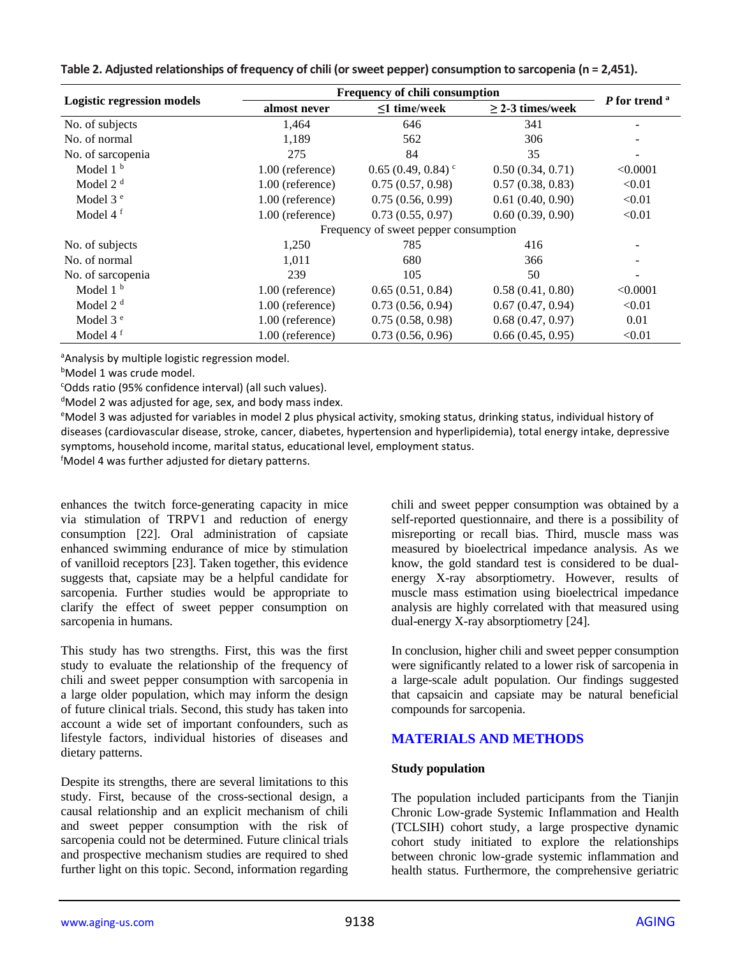|  | Table 2. Adjusted relationships of frequency of chili (or sweet pepper) consumption to sarcopenia (n = 2,451). |
|--|----------------------------------------------------------------------------------------------------------------|
|--|----------------------------------------------------------------------------------------------------------------|

| <b>Logistic regression models</b> | Frequency of chili consumption        |                                 |                       |                          |  |  |
|-----------------------------------|---------------------------------------|---------------------------------|-----------------------|--------------------------|--|--|
|                                   | almost never                          | $\leq$ 1 time/week              | $\geq$ 2-3 times/week | P for trend <sup>a</sup> |  |  |
| No. of subjects                   | 1,464                                 | 646                             | 341                   |                          |  |  |
| No. of normal                     | 1,189                                 | 562                             | 306                   |                          |  |  |
| No. of sarcopenia                 | 275                                   | 84                              | 35                    |                          |  |  |
| Model $1b$                        | 1.00 (reference)                      | $0.65(0.49, 0.84)$ <sup>c</sup> | 0.50(0.34, 0.71)      | < 0.0001                 |  |  |
| Model $2d$                        | 1.00 (reference)                      | 0.75(0.57, 0.98)                | 0.57(0.38, 0.83)      | < 0.01                   |  |  |
| Model 3 <sup>e</sup>              | 1.00 (reference)                      | 0.75(0.56, 0.99)                | 0.61(0.40, 0.90)      | < 0.01                   |  |  |
| Model $4f$                        | 1.00 (reference)                      | 0.73(0.55, 0.97)                | 0.60(0.39, 0.90)      | < 0.01                   |  |  |
|                                   | Frequency of sweet pepper consumption |                                 |                       |                          |  |  |
| No. of subjects                   | 1,250                                 | 785                             | 416                   |                          |  |  |
| No. of normal                     | 1,011                                 | 680                             | 366                   |                          |  |  |
| No. of sarcopenia                 | 239                                   | 105                             | 50                    |                          |  |  |
| Model $1b$                        | $1.00$ (reference)                    | 0.65(0.51, 0.84)                | 0.58(0.41, 0.80)      | < 0.0001                 |  |  |
| Model $2d$                        | $1.00$ (reference)                    | 0.73(0.56, 0.94)                | 0.67(0.47, 0.94)      | < 0.01                   |  |  |
| Model $3e$                        | $1.00$ (reference)                    | 0.75(0.58, 0.98)                | 0.68(0.47, 0.97)      | 0.01                     |  |  |
| Model $4f$                        | 1.00 (reference)                      | 0.73(0.56, 0.96)                | 0.66(0.45, 0.95)      | < 0.01                   |  |  |

<sup>a</sup>Analysis by multiple logistic regression model.

**bModel 1 was crude model.** 

<sup>c</sup>Odds ratio (95% confidence interval) (all such values).

<sup>d</sup>Model 2 was adjusted for age, sex, and body mass index.

<sup>e</sup>Model 3 was adjusted for variables in model 2 plus physical activity, smoking status, drinking status, individual history of diseases (cardiovascular disease, stroke, cancer, diabetes, hypertension and hyperlipidemia), total energy intake, depressive symptoms, household income, marital status, educational level, employment status.

<sup>f</sup>Model 4 was further adjusted for dietary patterns.

enhances the twitch force-generating capacity in mice via stimulation of TRPV1 and reduction of energy consumption [22]. Oral administration of capsiate enhanced swimming endurance of mice by stimulation of vanilloid receptors [23]. Taken together, this evidence suggests that, capsiate may be a helpful candidate for sarcopenia. Further studies would be appropriate to clarify the effect of sweet pepper consumption on sarcopenia in humans.

This study has two strengths. First, this was the first study to evaluate the relationship of the frequency of chili and sweet pepper consumption with sarcopenia in a large older population, which may inform the design of future clinical trials. Second, this study has taken into account a wide set of important confounders, such as lifestyle factors, individual histories of diseases and dietary patterns.

Despite its strengths, there are several limitations to this study. First, because of the cross-sectional design, a causal relationship and an explicit mechanism of chili and sweet pepper consumption with the risk of sarcopenia could not be determined. Future clinical trials and prospective mechanism studies are required to shed further light on this topic. Second, information regarding

chili and sweet pepper consumption was obtained by a self-reported questionnaire, and there is a possibility of misreporting or recall bias. Third, muscle mass was measured by bioelectrical impedance analysis. As we know, the gold standard test is considered to be dualenergy X-ray absorptiometry. However, results of muscle mass estimation using bioelectrical impedance analysis are highly correlated with that measured using dual-energy X-ray absorptiometry [24].

In conclusion, higher chili and sweet pepper consumption were significantly related to a lower risk of sarcopenia in a large-scale adult population. Our findings suggested that capsaicin and capsiate may be natural beneficial compounds for sarcopenia.

# **MATERIALS AND METHODS**

## **Study population**

The population included participants from the Tianjin Chronic Low-grade Systemic Inflammation and Health (TCLSIH) cohort study, a large prospective dynamic cohort study initiated to explore the relationships between chronic low-grade systemic inflammation and health status. Furthermore, the comprehensive geriatric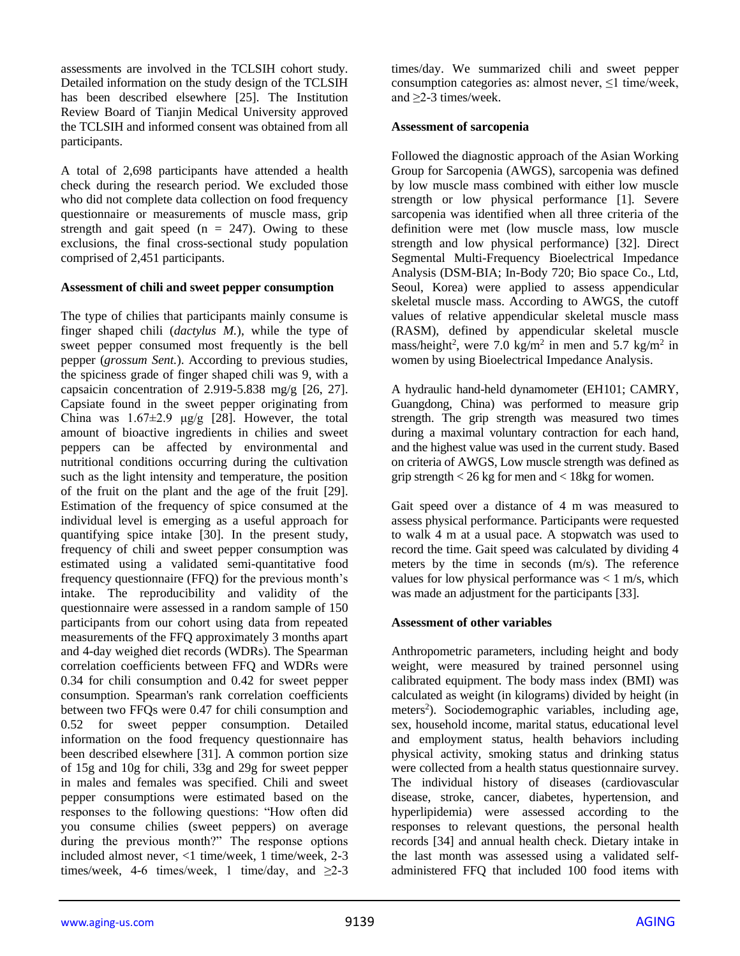assessments are involved in the TCLSIH cohort study. Detailed information on the study design of the TCLSIH has been described elsewhere [25]. The Institution Review Board of Tianjin Medical University approved the TCLSIH and informed consent was obtained from all participants.

A total of 2,698 participants have attended a health check during the research period. We excluded those who did not complete data collection on food frequency questionnaire or measurements of muscle mass, grip strength and gait speed  $(n = 247)$ . Owing to these exclusions, the final cross-sectional study population comprised of 2,451 participants.

#### **Assessment of chili and sweet pepper consumption**

The type of chilies that participants mainly consume is finger shaped chili (*dactylus M.*), while the type of sweet pepper consumed most frequently is the bell pepper (*grossum Sent.*). According to previous studies, the spiciness grade of finger shaped chili was 9, with a capsaicin concentration of 2.919-5.838 mg/g [26, 27]. Capsiate found in the sweet pepper originating from China was  $1.67\pm2.9$   $\mu$ g/g [28]. However, the total amount of bioactive ingredients in chilies and sweet peppers can be affected by environmental and nutritional conditions occurring during the cultivation such as the light intensity and temperature, the position of the fruit on the plant and the age of the fruit [29]. Estimation of the frequency of spice consumed at the individual level is emerging as a useful approach for quantifying spice intake [30]. In the present study, frequency of chili and sweet pepper consumption was estimated using a validated semi-quantitative food frequency questionnaire (FFQ) for the previous month's intake. The reproducibility and validity of the questionnaire were assessed in a random sample of 150 participants from our cohort using data from repeated measurements of the FFQ approximately 3 months apart and 4-day weighed diet records (WDRs). The Spearman correlation coefficients between FFQ and WDRs were 0.34 for chili consumption and 0.42 for sweet pepper consumption. Spearman's rank correlation coefficients between two FFQs were 0.47 for chili consumption and 0.52 for sweet pepper consumption. Detailed information on the food frequency questionnaire has been described elsewhere [31]. A common portion size of 15g and 10g for chili, 33g and 29g for sweet pepper in males and females was specified. Chili and sweet pepper consumptions were estimated based on the responses to the following questions: "How often did you consume chilies (sweet peppers) on average during the previous month?" The response options included almost never, <1 time/week, 1 time/week, 2-3 times/week, 4-6 times/week, 1 time/day, and  $\geq 2-3$ 

times/day. We summarized chili and sweet pepper consumption categories as: almost never, ≤1 time/week, and ≥2-3 times/week.

#### **Assessment of sarcopenia**

Followed the diagnostic approach of the Asian Working Group for Sarcopenia (AWGS), sarcopenia was defined by low muscle mass combined with either low muscle strength or low physical performance [1]. Severe sarcopenia was identified when all three criteria of the definition were met (low muscle mass, low muscle strength and low physical performance) [32]. Direct Segmental Multi-Frequency Bioelectrical Impedance Analysis (DSM-BIA; In-Body 720; Bio space Co., Ltd, Seoul, Korea) were applied to assess appendicular skeletal muscle mass. According to AWGS, the cutoff values of relative appendicular skeletal muscle mass (RASM), defined by appendicular skeletal muscle mass/height<sup>2</sup>, were 7.0 kg/m<sup>2</sup> in men and 5.7 kg/m<sup>2</sup> in women by using Bioelectrical Impedance Analysis.

A hydraulic hand-held dynamometer (EH101; CAMRY, Guangdong, China) was performed to measure grip strength. The grip strength was measured two times during a maximal voluntary contraction for each hand, and the highest value was used in the current study. Based on criteria of AWGS, Low muscle strength was defined as grip strength < 26 kg for men and < 18kg for women.

Gait speed over a distance of 4 m was measured to assess physical performance. Participants were requested to walk 4 m at a usual pace. A stopwatch was used to record the time. Gait speed was calculated by dividing 4 meters by the time in seconds (m/s). The reference values for low physical performance was  $< 1$  m/s, which was made an adjustment for the participants [33].

## **Assessment of other variables**

Anthropometric parameters, including height and body weight, were measured by trained personnel using calibrated equipment. The body mass index (BMI) was calculated as weight (in kilograms) divided by height (in meters<sup>2</sup>). Sociodemographic variables, including age, sex, household income, marital status, educational level and employment status, health behaviors including physical activity, smoking status and drinking status were collected from a health status questionnaire survey. The individual history of diseases (cardiovascular disease, stroke, cancer, diabetes, hypertension, and hyperlipidemia) were assessed according to the responses to relevant questions, the personal health records [34] and annual health check. Dietary intake in the last month was assessed using a validated selfadministered FFQ that included 100 food items with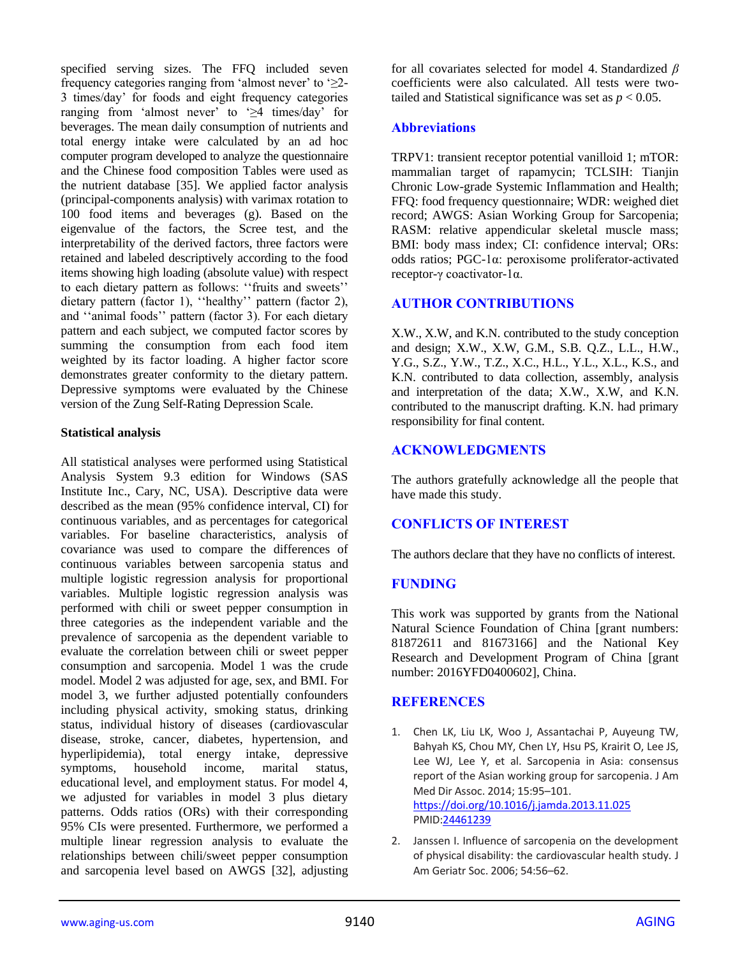specified serving sizes. The FFQ included seven frequency categories ranging from 'almost never' to ' $\geq$ 2-3 times/day' for foods and eight frequency categories ranging from 'almost never' to '≥4 times/day' for beverages. The mean daily consumption of nutrients and total energy intake were calculated by an ad hoc computer program developed to analyze the questionnaire and the Chinese food composition Tables were used as the nutrient database [35]. We applied factor analysis (principal-components analysis) with varimax rotation to 100 food items and beverages (g). Based on the eigenvalue of the factors, the Scree test, and the interpretability of the derived factors, three factors were retained and labeled descriptively according to the food items showing high loading (absolute value) with respect to each dietary pattern as follows: ''fruits and sweets'' dietary pattern (factor 1), ''healthy'' pattern (factor 2), and ''animal foods'' pattern (factor 3). For each dietary pattern and each subject, we computed factor scores by summing the consumption from each food item weighted by its factor loading. A higher factor score demonstrates greater conformity to the dietary pattern. Depressive symptoms were evaluated by the Chinese version of the Zung Self-Rating Depression Scale.

#### **Statistical analysis**

All statistical analyses were performed using Statistical Analysis System 9.3 edition for Windows (SAS Institute Inc., Cary, NC, USA). Descriptive data were described as the mean (95% confidence interval, CI) for continuous variables, and as percentages for categorical variables. For baseline characteristics, analysis of covariance was used to compare the differences of continuous variables between sarcopenia status and multiple logistic regression analysis for proportional variables. Multiple logistic regression analysis was performed with chili or sweet pepper consumption in three categories as the independent variable and the prevalence of sarcopenia as the dependent variable to evaluate the correlation between chili or sweet pepper consumption and sarcopenia. Model 1 was the crude model. Model 2 was adjusted for age, sex, and BMI. For model 3, we further adjusted potentially confounders including physical activity, smoking status, drinking status, individual history of diseases (cardiovascular disease, stroke, cancer, diabetes, hypertension, and hyperlipidemia), total energy intake, depressive symptoms, household income, marital status, educational level, and employment status. For model 4, we adjusted for variables in model 3 plus dietary patterns. Odds ratios (ORs) with their corresponding 95% CIs were presented. Furthermore, we performed a multiple linear regression analysis to evaluate the relationships between chili/sweet pepper consumption and sarcopenia level based on AWGS [32], adjusting

for all covariates selected for model 4. Standardized *β* coefficients were also calculated. All tests were twotailed and Statistical significance was set as  $p < 0.05$ .

## **Abbreviations**

TRPV1: transient receptor potential vanilloid 1; mTOR: mammalian target of rapamycin; TCLSIH: Tianjin Chronic Low-grade Systemic Inflammation and Health; FFQ: food frequency questionnaire; WDR: weighed diet record; AWGS: Asian Working Group for Sarcopenia; RASM: relative appendicular skeletal muscle mass; BMI: body mass index; CI: confidence interval; ORs: odds ratios; PGC-1α: peroxisome proliferator-activated receptor-γ coactivator-1α.

# **AUTHOR CONTRIBUTIONS**

X.W., X.W, and K.N. contributed to the study conception and design; X.W., X.W, G.M., S.B. Q.Z., L.L., H.W., Y.G., S.Z., Y.W., T.Z., X.C., H.L., Y.L., X.L., K.S., and K.N. contributed to data collection, assembly, analysis and interpretation of the data; X.W., X.W, and K.N. contributed to the manuscript drafting. K.N. had primary responsibility for final content.

# **ACKNOWLEDGMENTS**

The authors gratefully acknowledge all the people that have made this study.

# **CONFLICTS OF INTEREST**

The authors declare that they have no conflicts of interest.

# **FUNDING**

This work was supported by grants from the National Natural Science Foundation of China [grant numbers: 81872611 and 81673166] and the National Key Research and Development Program of China [grant number: 2016YFD0400602], China.

# **REFERENCES**

- 1. Chen LK, Liu LK, Woo J, Assantachai P, Auyeung TW, Bahyah KS, Chou MY, Chen LY, Hsu PS, Krairit O, Lee JS, Lee WJ, Lee Y, et al. Sarcopenia in Asia: consensus report of the Asian working group for sarcopenia. J Am Med Dir Assoc. 2014; 15:95–101. <https://doi.org/10.1016/j.jamda.2013.11.025> PMI[D:24461239](https://pubmed.ncbi.nlm.nih.gov/24461239)
- 2. Janssen I. Influence of sarcopenia on the development of physical disability: the cardiovascular health study. J Am Geriatr Soc. 2006; 54:56–62.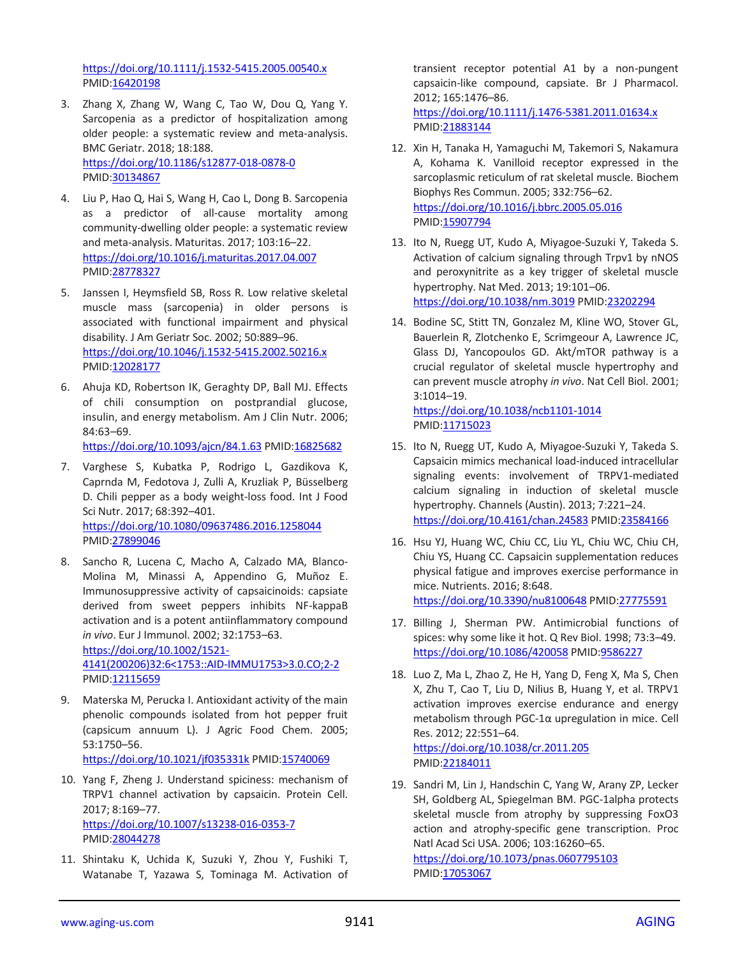<https://doi.org/10.1111/j.1532-5415.2005.00540.x> PMID[:16420198](https://pubmed.ncbi.nlm.nih.gov/16420198)

- 3. Zhang X, Zhang W, Wang C, Tao W, Dou Q, Yang Y. Sarcopenia as a predictor of hospitalization among older people: a systematic review and meta-analysis. BMC Geriatr. 2018; 18:188. <https://doi.org/10.1186/s12877-018-0878-0> PMID[:30134867](https://pubmed.ncbi.nlm.nih.gov/30134867)
- 4. Liu P, Hao Q, Hai S, Wang H, Cao L, Dong B. Sarcopenia as a predictor of all-cause mortality among community-dwelling older people: a systematic review and meta-analysis. Maturitas. 2017; 103:16–22. <https://doi.org/10.1016/j.maturitas.2017.04.007> PMID[:28778327](https://pubmed.ncbi.nlm.nih.gov/28778327)
- 5. Janssen I, Heymsfield SB, Ross R. Low relative skeletal muscle mass (sarcopenia) in older persons is associated with functional impairment and physical disability. J Am Geriatr Soc. 2002; 50:889–96. <https://doi.org/10.1046/j.1532-5415.2002.50216.x> PMID[:12028177](https://pubmed.ncbi.nlm.nih.gov/12028177)
- 6. Ahuja KD, Robertson IK, Geraghty DP, Ball MJ. Effects of chili consumption on postprandial glucose, insulin, and energy metabolism. Am J Clin Nutr. 2006; 84:63–69.

<https://doi.org/10.1093/ajcn/84.1.63> PMI[D:16825682](https://pubmed.ncbi.nlm.nih.gov/16825682)

- 7. Varghese S, Kubatka P, Rodrigo L, Gazdikova K, Caprnda M, Fedotova J, Zulli A, Kruzliak P, Büsselberg D. Chili pepper as a body weight-loss food. Int J Food Sci Nutr. 2017; 68:392–401. <https://doi.org/10.1080/09637486.2016.1258044> PMID[:27899046](https://pubmed.ncbi.nlm.nih.gov/27899046)
- 8. Sancho R, Lucena C, Macho A, Calzado MA, Blanco-Molina M, Minassi A, Appendino G, Muñoz E. Immunosuppressive activity of capsaicinoids: capsiate derived from sweet peppers inhibits NF-kappaB activation and is a potent antiinflammatory compound *in vivo*. Eur J Immunol. 2002; 32:1753–63. [https://doi.org/10.1002/1521-](https://doi.org/10.1002/1521-4141(200206)32:6%3c1753::AID-IMMU1753%3e3.0.CO;2-2) [4141\(200206\)32:6<1753::AID-IMMU1753>3.0.CO;2-2](https://doi.org/10.1002/1521-4141(200206)32:6%3c1753::AID-IMMU1753%3e3.0.CO;2-2) PMID[:12115659](https://pubmed.ncbi.nlm.nih.gov/12115659)
- 9. Materska M, Perucka I. Antioxidant activity of the main phenolic compounds isolated from hot pepper fruit (capsicum annuum L). J Agric Food Chem. 2005; 53:1750–56. <https://doi.org/10.1021/jf035331k> PMID[:15740069](https://pubmed.ncbi.nlm.nih.gov/15740069)
- 10. Yang F, Zheng J. Understand spiciness: mechanism of TRPV1 channel activation by capsaicin. Protein Cell. 2017; 8:169–77. <https://doi.org/10.1007/s13238-016-0353-7> PMID[:28044278](https://pubmed.ncbi.nlm.nih.gov/28044278)
- 11. Shintaku K, Uchida K, Suzuki Y, Zhou Y, Fushiki T, Watanabe T, Yazawa S, Tominaga M. Activation of

transient receptor potential A1 by a non-pungent capsaicin-like compound, capsiate. Br J Pharmacol. 2012; 165:1476–86.

<https://doi.org/10.1111/j.1476-5381.2011.01634.x> PMI[D:21883144](https://pubmed.ncbi.nlm.nih.gov/21883144)

- 12. Xin H, Tanaka H, Yamaguchi M, Takemori S, Nakamura A, Kohama K. Vanilloid receptor expressed in the sarcoplasmic reticulum of rat skeletal muscle. Biochem Biophys Res Commun. 2005; 332:756–62. <https://doi.org/10.1016/j.bbrc.2005.05.016> PMI[D:15907794](https://pubmed.ncbi.nlm.nih.gov/15907794)
- 13. Ito N, Ruegg UT, Kudo A, Miyagoe-Suzuki Y, Takeda S. Activation of calcium signaling through Trpv1 by nNOS and peroxynitrite as a key trigger of skeletal muscle hypertrophy. Nat Med. 2013; 19:101–06. <https://doi.org/10.1038/nm.3019> PMI[D:23202294](https://pubmed.ncbi.nlm.nih.gov/23202294)
- 14. Bodine SC, Stitt TN, Gonzalez M, Kline WO, Stover GL, Bauerlein R, Zlotchenko E, Scrimgeour A, Lawrence JC, Glass DJ, Yancopoulos GD. Akt/mTOR pathway is a crucial regulator of skeletal muscle hypertrophy and can prevent muscle atrophy *in vivo*. Nat Cell Biol. 2001; 3:1014–19.

<https://doi.org/10.1038/ncb1101-1014> PMID: 11715023

- 15. Ito N, Ruegg UT, Kudo A, Miyagoe-Suzuki Y, Takeda S. Capsaicin mimics mechanical load-induced intracellular signaling events: involvement of TRPV1-mediated calcium signaling in induction of skeletal muscle hypertrophy. Channels (Austin). 2013; 7:221–24. <https://doi.org/10.4161/chan.24583> PMI[D:23584166](https://pubmed.ncbi.nlm.nih.gov/23584166)
- 16. Hsu YJ, Huang WC, Chiu CC, Liu YL, Chiu WC, Chiu CH, Chiu YS, Huang CC. Capsaicin supplementation reduces physical fatigue and improves exercise performance in mice. Nutrients. 2016; 8:648. <https://doi.org/10.3390/nu8100648> PMID[:27775591](https://pubmed.ncbi.nlm.nih.gov/27775591)
- 17. Billing J, Sherman PW. Antimicrobial functions of spices: why some like it hot. Q Rev Biol. 1998; 73:3–49. <https://doi.org/10.1086/420058> PMID[:9586227](https://pubmed.ncbi.nlm.nih.gov/9586227)
- 18. Luo Z, Ma L, Zhao Z, He H, Yang D, Feng X, Ma S, Chen X, Zhu T, Cao T, Liu D, Nilius B, Huang Y, et al. TRPV1 activation improves exercise endurance and energy metabolism through PGC-1α upregulation in mice. Cell Res. 2012; 22:551–64. <https://doi.org/10.1038/cr.2011.205>

PMI[D:22184011](https://pubmed.ncbi.nlm.nih.gov/22184011)

19. Sandri M, Lin J, Handschin C, Yang W, Arany ZP, Lecker SH, Goldberg AL, Spiegelman BM. PGC-1alpha protects skeletal muscle from atrophy by suppressing FoxO3 action and atrophy-specific gene transcription. Proc Natl Acad Sci USA. 2006; 103:16260–65. <https://doi.org/10.1073/pnas.0607795103> PMI[D:17053067](https://pubmed.ncbi.nlm.nih.gov/17053067)